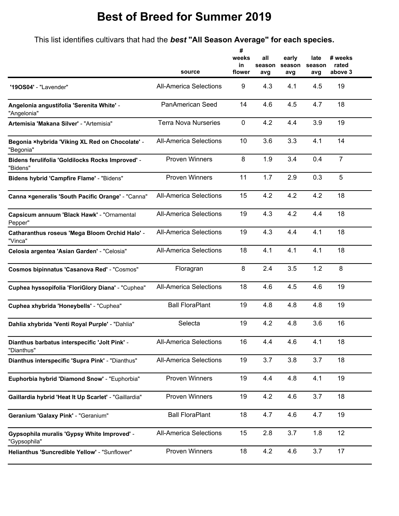## **Best of Breed for Summer 2019**

This list identifies cultivars that had the *best* **"All Season Average" for each species.**

|                                                              |                               | #<br>weeks<br>in | all<br>season | early<br>season | late<br>season | # weeks<br>rated |
|--------------------------------------------------------------|-------------------------------|------------------|---------------|-----------------|----------------|------------------|
|                                                              | source                        | flower           | avg           | avg             | avg            | above 3          |
| "190S04" - "Lavender"                                        | <b>All-America Selections</b> | 9                | 4.3           | 4.1             | 4.5            | 19               |
| Angelonia angustifolia 'Serenita White' -<br>"Angelonia"     | PanAmerican Seed              | 14               | 4.6           | 4.5             | 4.7            | 18               |
| Artemisia 'Makana Silver' - "Artemisia"                      | <b>Terra Nova Nurseries</b>   | $\mathbf 0$      | 4.2           | 4.4             | 3.9            | 19               |
| Begonia ×hybrida 'Viking XL Red on Chocolate' -<br>"Begonia" | <b>All-America Selections</b> | 10               | 3.6           | 3.3             | 4.1            | 14               |
| Bidens ferulifolia 'Goldilocks Rocks Improved' -<br>"Bidens" | <b>Proven Winners</b>         | 8                | 1.9           | 3.4             | 0.4            | $\overline{7}$   |
| Bidens hybrid 'Campfire Flame' - "Bidens"                    | <b>Proven Winners</b>         | 11               | 1.7           | 2.9             | 0.3            | 5                |
| Canna xgeneralis 'South Pacific Orange' - "Canna"            | <b>All-America Selections</b> | 15               | 4.2           | 4.2             | 4.2            | 18               |
| Capsicum annuum 'Black Hawk' - "Ornamental<br>Pepper"        | <b>All-America Selections</b> | 19               | 4.3           | 4.2             | 4.4            | 18               |
| Catharanthus roseus 'Mega Bloom Orchid Halo' -<br>"Vinca"    | <b>All-America Selections</b> | 19               | 4.3           | 4.4             | 4.1            | 18               |
| Celosia argentea 'Asian Garden' - "Celosia"                  | <b>All-America Selections</b> | 18               | 4.1           | 4.1             | 4.1            | 18               |
| <b>Cosmos bipinnatus 'Casanova Red' - "Cosmos"</b>           | Floragran                     | 8                | 2.4           | 3.5             | 1.2            | 8                |
| Cuphea hyssopifolia 'FloriGlory Diana' - "Cuphea"            | <b>All-America Selections</b> | 18               | 4.6           | 4.5             | 4.6            | 19               |
| Cuphea xhybrida 'Honeybells' - "Cuphea"                      | <b>Ball FloraPlant</b>        | 19               | 4.8           | 4.8             | 4.8            | 19               |
| Dahlia xhybrida 'Venti Royal Purple' - "Dahlia"              | Selecta                       | 19               | 4.2           | 4.8             | 3.6            | 16               |
| Dianthus barbatus interspecific 'Jolt Pink' -<br>"Dianthus"  | <b>All-America Selections</b> | 16               | 4.4           | 4.6             | 4.1            | 18               |
| Dianthus interspecific 'Supra Pink' - "Dianthus"             | <b>All-America Selections</b> | 19               | 3.7           | 3.8             | 3.7            | 18               |
| Euphorbia hybrid 'Diamond Snow' - "Euphorbia"                | <b>Proven Winners</b>         | 19               | 4.4           | 4.8             | 4.1            | 19               |
| Gaillardia hybrid 'Heat It Up Scarlet' - "Gaillardia"        | <b>Proven Winners</b>         | 19               | 4.2           | 4.6             | 3.7            | 18               |
| Geranium 'Galaxy Pink' - "Geranium"                          | <b>Ball FloraPlant</b>        | 18               | 4.7           | 4.6             | 4.7            | 19               |
| Gypsophila muralis 'Gypsy White Improved' -<br>"Gypsophila"  | <b>All-America Selections</b> | 15               | 2.8           | 3.7             | 1.8            | 12               |
| Helianthus 'Suncredible Yellow' - "Sunflower"                | Proven Winners                | 18               | 4.2           | 4.6             | 3.7            | 17               |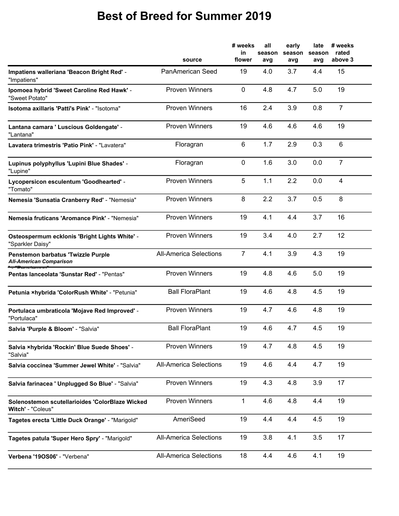## **Best of Breed for Summer 2019**

|                                                                      | source                        | # weeks<br>in<br>flower | all<br>season<br>avg | early<br>season<br>avg | late<br>season<br>avg | # weeks<br>rated<br>above 3 |
|----------------------------------------------------------------------|-------------------------------|-------------------------|----------------------|------------------------|-----------------------|-----------------------------|
| Impatiens walleriana 'Beacon Bright Red' -<br>"Impatiens"            | PanAmerican Seed              | 19                      | 4.0                  | 3.7                    | 4.4                   | 15                          |
| Ipomoea hybrid 'Sweet Caroline Red Hawk' -<br>"Sweet Potato"         | <b>Proven Winners</b>         | $\mathbf 0$             | 4.8                  | 4.7                    | 5.0                   | 19                          |
| Isotoma axillaris 'Patti's Pink' - "Isotoma"                         | <b>Proven Winners</b>         | 16                      | 2.4                  | 3.9                    | 0.8                   | $\overline{7}$              |
| Lantana camara ' Luscious Goldengate' -<br>"Lantana"                 | <b>Proven Winners</b>         | 19                      | 4.6                  | 4.6                    | 4.6                   | 19                          |
| Lavatera trimestris 'Patio Pink' - "Lavatera"                        | Floragran                     | 6                       | 1.7                  | 2.9                    | 0.3                   | 6                           |
| Lupinus polyphyllus 'Lupini Blue Shades' -<br>"Lupine"               | Floragran                     | 0                       | 1.6                  | 3.0                    | 0.0                   | $\overline{7}$              |
| Lycopersicon esculentum 'Goodhearted' -<br>"Tomato"                  | <b>Proven Winners</b>         | 5                       | 1.1                  | 2.2                    | 0.0                   | $\overline{4}$              |
| Nemesia 'Sunsatia Cranberry Red' - "Nemesia"                         | <b>Proven Winners</b>         | 8                       | 2.2                  | 3.7                    | 0.5                   | 8                           |
| Nemesia fruticans 'Aromance Pink' - "Nemesia"                        | <b>Proven Winners</b>         | 19                      | 4.1                  | 4.4                    | 3.7                   | 16                          |
| Osteospermum ecklonis 'Bright Lights White' -<br>"Sparkler Daisy"    | <b>Proven Winners</b>         | 19                      | 3.4                  | 4.0                    | 2.7                   | 12                          |
| Penstemon barbatus 'Twizzle Purple<br><b>All-American Comparison</b> | <b>All-America Selections</b> | $\overline{7}$          | 4.1                  | 3.9                    | 4.3                   | 19                          |
| Pentas Ianceolata 'Sunstar Red' - "Pentas"                           | <b>Proven Winners</b>         | 19                      | 4.8                  | 4.6                    | 5.0                   | 19                          |
| Petunia ×hybrida 'ColorRush White' - "Petunia"                       | <b>Ball FloraPlant</b>        | 19                      | 4.6                  | 4.8                    | 4.5                   | 19                          |
| Portulaca umbraticola 'Mojave Red Improved' -<br>"Portulaca"         | <b>Proven Winners</b>         | 19                      | 4.7                  | 4.6                    | 4.8                   | 19                          |
| Salvia 'Purple & Bloom' - "Salvia"                                   | <b>Ball FloraPlant</b>        | 19                      | 4.6                  | 4.7                    | 4.5                   | 19                          |
| Salvia ×hybrida 'Rockin' Blue Suede Shoes' -<br>"Salvia"             | <b>Proven Winners</b>         | 19                      | 4.7                  | 4.8                    | 4.5                   | 19                          |
| Salvia coccinea 'Summer Jewel White' - "Salvia"                      | <b>All-America Selections</b> | 19                      | 4.6                  | 4.4                    | 4.7                   | 19                          |
| Salvia farinacea ' Unplugged So Blue' - "Salvia"                     | <b>Proven Winners</b>         | 19                      | 4.3                  | 4.8                    | 3.9                   | 17                          |
| Solenostemon scutellarioides 'ColorBlaze Wicked<br>Witch' - "Coleus" | <b>Proven Winners</b>         | $\mathbf{1}$            | 4.6                  | 4.8                    | 4.4                   | 19                          |
| Tagetes erecta 'Little Duck Orange' - "Marigold"                     | AmeriSeed                     | 19                      | 4.4                  | 4.4                    | 4.5                   | 19                          |
| Tagetes patula 'Super Hero Spry' - "Marigold"                        | <b>All-America Selections</b> | 19                      | 3.8                  | 4.1                    | 3.5                   | 17                          |
| Verbena '190S06' - "Verbena"                                         | <b>All-America Selections</b> | 18                      | 4.4                  | 4.6                    | 4.1                   | 19                          |